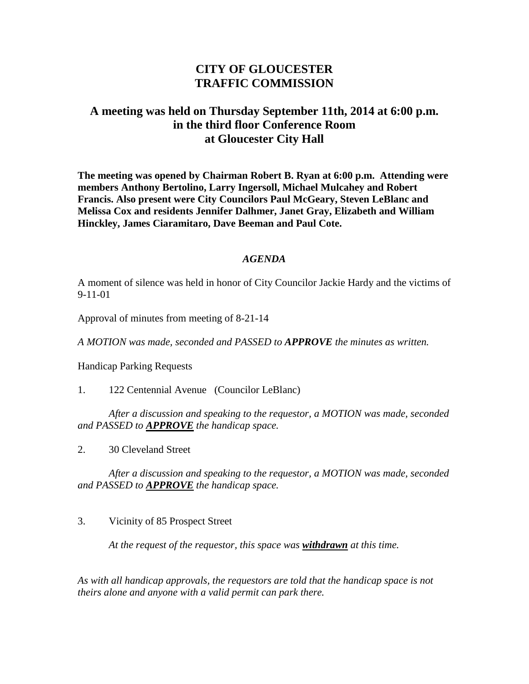## **CITY OF GLOUCESTER TRAFFIC COMMISSION**

## **A meeting was held on Thursday September 11th, 2014 at 6:00 p.m. in the third floor Conference Room at Gloucester City Hall**

**The meeting was opened by Chairman Robert B. Ryan at 6:00 p.m. Attending were members Anthony Bertolino, Larry Ingersoll, Michael Mulcahey and Robert Francis. Also present were City Councilors Paul McGeary, Steven LeBlanc and Melissa Cox and residents Jennifer Dalhmer, Janet Gray, Elizabeth and William Hinckley, James Ciaramitaro, Dave Beeman and Paul Cote.**

## *AGENDA*

A moment of silence was held in honor of City Councilor Jackie Hardy and the victims of 9-11-01

Approval of minutes from meeting of 8-21-14

*A MOTION was made, seconded and PASSED to APPROVE the minutes as written.*

Handicap Parking Requests

1. 122 Centennial Avenue (Councilor LeBlanc)

*After a discussion and speaking to the requestor, a MOTION was made, seconded and PASSED to APPROVE the handicap space.*

2. 30 Cleveland Street

*After a discussion and speaking to the requestor, a MOTION was made, seconded and PASSED to APPROVE the handicap space.*

3. Vicinity of 85 Prospect Street

*At the request of the requestor, this space was withdrawn at this time.*

*As with all handicap approvals, the requestors are told that the handicap space is not theirs alone and anyone with a valid permit can park there.*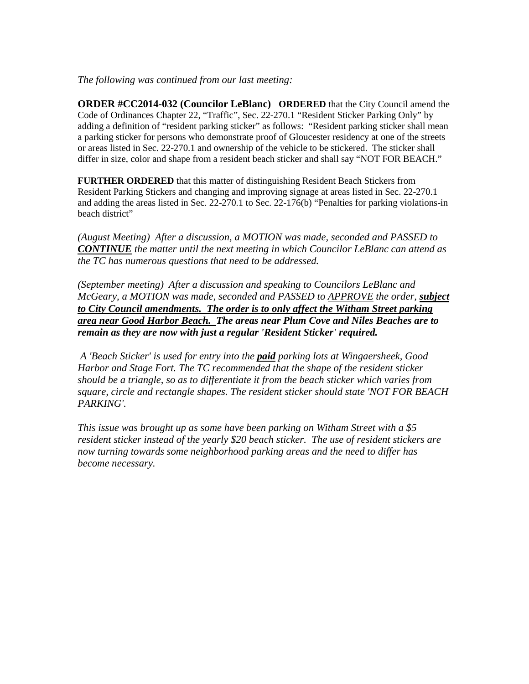## *The following was continued from our last meeting:*

**ORDER #CC2014-032 (Councilor LeBlanc) ORDERED** that the City Council amend the Code of Ordinances Chapter 22, "Traffic", Sec. 22-270.1 "Resident Sticker Parking Only" by adding a definition of "resident parking sticker" as follows: "Resident parking sticker shall mean a parking sticker for persons who demonstrate proof of Gloucester residency at one of the streets or areas listed in Sec. 22-270.1 and ownership of the vehicle to be stickered. The sticker shall differ in size, color and shape from a resident beach sticker and shall say "NOT FOR BEACH."

**FURTHER ORDERED** that this matter of distinguishing Resident Beach Stickers from Resident Parking Stickers and changing and improving signage at areas listed in Sec. 22-270.1 and adding the areas listed in Sec. 22-270.1 to Sec. 22-176(b) "Penalties for parking violations-in beach district"

*(August Meeting) After a discussion, a MOTION was made, seconded and PASSED to CONTINUE the matter until the next meeting in which Councilor LeBlanc can attend as the TC has numerous questions that need to be addressed.*

*(September meeting) After a discussion and speaking to Councilors LeBlanc and McGeary, a MOTION was made, seconded and PASSED to APPROVE the order, subject to City Council amendments. The order is to only affect the Witham Street parking area near Good Harbor Beach. The areas near Plum Cove and Niles Beaches are to remain as they are now with just a regular 'Resident Sticker' required.* 

*A 'Beach Sticker' is used for entry into the paid parking lots at Wingaersheek, Good Harbor and Stage Fort. The TC recommended that the shape of the resident sticker should be a triangle, so as to differentiate it from the beach sticker which varies from square, circle and rectangle shapes. The resident sticker should state 'NOT FOR BEACH PARKING'.*

*This issue was brought up as some have been parking on Witham Street with a \$5 resident sticker instead of the yearly \$20 beach sticker. The use of resident stickers are now turning towards some neighborhood parking areas and the need to differ has become necessary.*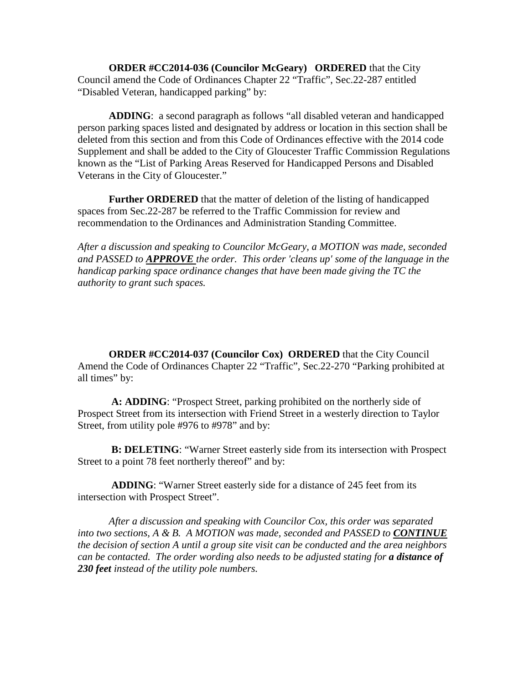**ORDER #CC2014-036 (Councilor McGeary) ORDERED** that the City Council amend the Code of Ordinances Chapter 22 "Traffic", Sec.22-287 entitled "Disabled Veteran, handicapped parking" by:

 **ADDING**: a second paragraph as follows "all disabled veteran and handicapped person parking spaces listed and designated by address or location in this section shall be deleted from this section and from this Code of Ordinances effective with the 2014 code Supplement and shall be added to the City of Gloucester Traffic Commission Regulations known as the "List of Parking Areas Reserved for Handicapped Persons and Disabled Veterans in the City of Gloucester."

 **Further ORDERED** that the matter of deletion of the listing of handicapped spaces from Sec.22-287 be referred to the Traffic Commission for review and recommendation to the Ordinances and Administration Standing Committee.

*After a discussion and speaking to Councilor McGeary, a MOTION was made, seconded and PASSED to APPROVE the order. This order 'cleans up' some of the language in the handicap parking space ordinance changes that have been made giving the TC the authority to grant such spaces.* 

**ORDER #CC2014-037 (Councilor Cox) ORDERED** that the City Council Amend the Code of Ordinances Chapter 22 "Traffic", Sec.22-270 "Parking prohibited at all times" by:

 **A: ADDING**: "Prospect Street, parking prohibited on the northerly side of Prospect Street from its intersection with Friend Street in a westerly direction to Taylor Street, from utility pole #976 to #978" and by:

**B: DELETING**: "Warner Street easterly side from its intersection with Prospect Street to a point 78 feet northerly thereof" and by:

**ADDING**: "Warner Street easterly side for a distance of 245 feet from its intersection with Prospect Street".

*After a discussion and speaking with Councilor Cox, this order was separated into two sections, A & B. A MOTION was made, seconded and PASSED to CONTINUE the decision of section A until a group site visit can be conducted and the area neighbors can be contacted. The order wording also needs to be adjusted stating for a distance of 230 feet instead of the utility pole numbers.*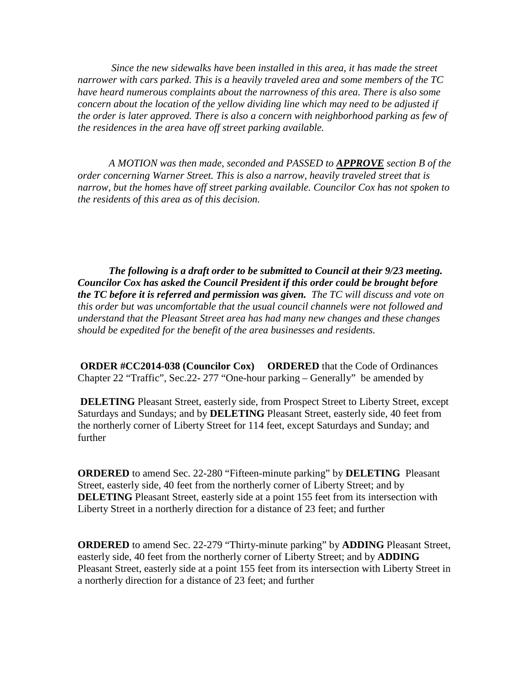*Since the new sidewalks have been installed in this area, it has made the street narrower with cars parked. This is a heavily traveled area and some members of the TC have heard numerous complaints about the narrowness of this area. There is also some concern about the location of the yellow dividing line which may need to be adjusted if the order is later approved. There is also a concern with neighborhood parking as few of the residences in the area have off street parking available.*

*A MOTION was then made, seconded and PASSED to APPROVE section B of the order concerning Warner Street. This is also a narrow, heavily traveled street that is narrow, but the homes have off street parking available. Councilor Cox has not spoken to the residents of this area as of this decision.* 

*The following is a draft order to be submitted to Council at their 9/23 meeting. Councilor Cox has asked the Council President if this order could be brought before the TC before it is referred and permission was given. The TC will discuss and vote on this order but was uncomfortable that the usual council channels were not followed and understand that the Pleasant Street area has had many new changes and these changes should be expedited for the benefit of the area businesses and residents.*

**ORDER #CC2014-038 (Councilor Cox) ORDERED** that the Code of Ordinances Chapter 22 "Traffic", Sec.22- 277 "One-hour parking – Generally" be amended by

**DELETING** Pleasant Street, easterly side, from Prospect Street to Liberty Street, except Saturdays and Sundays; and by **DELETING** Pleasant Street, easterly side, 40 feet from the northerly corner of Liberty Street for 114 feet, except Saturdays and Sunday; and further

**ORDERED** to amend Sec. 22-280 "Fifteen-minute parking" by **DELETING** Pleasant Street, easterly side, 40 feet from the northerly corner of Liberty Street; and by **DELETING** Pleasant Street, easterly side at a point 155 feet from its intersection with Liberty Street in a northerly direction for a distance of 23 feet; and further

**ORDERED** to amend Sec. 22-279 "Thirty-minute parking" by **ADDING** Pleasant Street, easterly side, 40 feet from the northerly corner of Liberty Street; and by **ADDING** Pleasant Street, easterly side at a point 155 feet from its intersection with Liberty Street in a northerly direction for a distance of 23 feet; and further